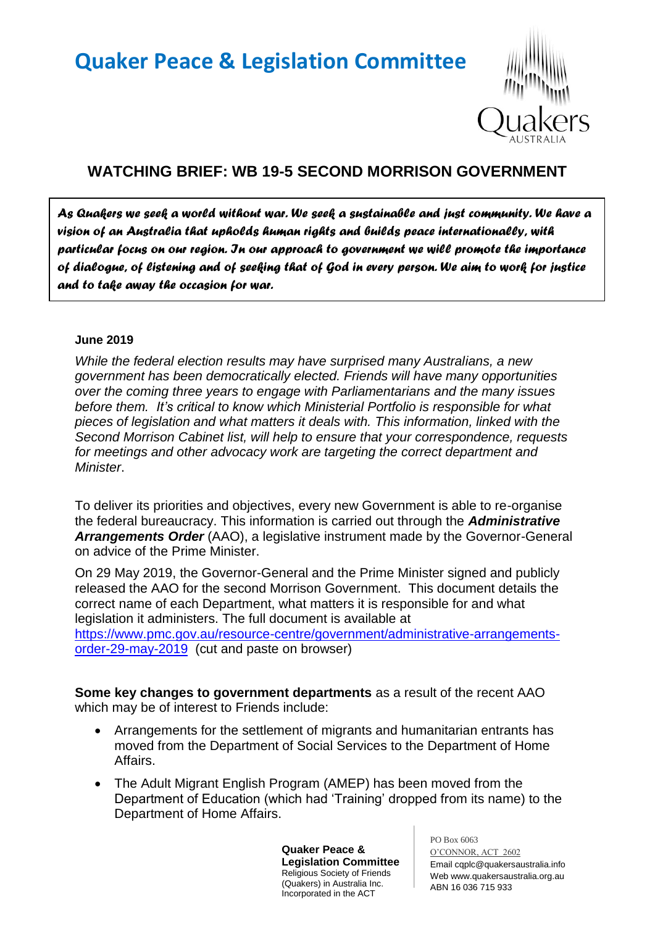## **Quaker Peace & Legislation Committee**



## **WATCHING BRIEF: WB 19-5 SECOND MORRISON GOVERNMENT**

*As Quakers we seek a world without war. We seek a sustainable and just community. We have a vision of an Australia that upholds human rights and builds peace internationally, with particular focus on our region. In our approach to government we will promote the importance of dialogue, of listening and of seeking that of God in every person. We aim to work for justice and to take away the occasion for war.* 

## **June 2019**

*While the federal election results may have surprised many Australians, a new government has been democratically elected. Friends will have many opportunities over the coming three years to engage with Parliamentarians and the many issues before them. It's critical to know which Ministerial Portfolio is responsible for what pieces of legislation and what matters it deals with. This information, linked with the Second Morrison Cabinet list, will help to ensure that your correspondence, requests for meetings and other advocacy work are targeting the correct department and Minister*.

To deliver its priorities and objectives, every new Government is able to re-organise the federal bureaucracy. This information is carried out through the *Administrative Arrangements Order* (AAO), a legislative instrument made by the Governor-General on advice of the Prime Minister.

On 29 May 2019, the Governor-General and the Prime Minister signed and publicly released the AAO for the second Morrison Government. This document details the correct name of each Department, what matters it is responsible for and what legislation it administers. The full document is available at [https://www.pmc.gov.au/resource-centre/government/administrative-arrangements](https://www.pmc.gov.au/resource-centre/government/administrative-arrangements-order-29-may-2019)[order-29-may-2019](https://www.pmc.gov.au/resource-centre/government/administrative-arrangements-order-29-may-2019) (cut and paste on browser)

**Some key changes to government departments** as a result of the recent AAO which may be of interest to Friends include:

- Arrangements for the settlement of migrants and humanitarian entrants has moved from the Department of Social Services to the Department of Home Affairs.
- The Adult Migrant English Program (AMEP) has been moved from the Department of Education (which had 'Training' dropped from its name) to the Department of Home Affairs.

**Quaker Peace & Legislation Committee** Religious Society of Friends (Quakers) in Australia Inc. Incorporated in the ACT

PO Box 6063

O'CONNOR, ACT 2602 Email cqplc@quakersaustralia.info Web www.quakersaustralia.org.au ABN 16 036 715 933